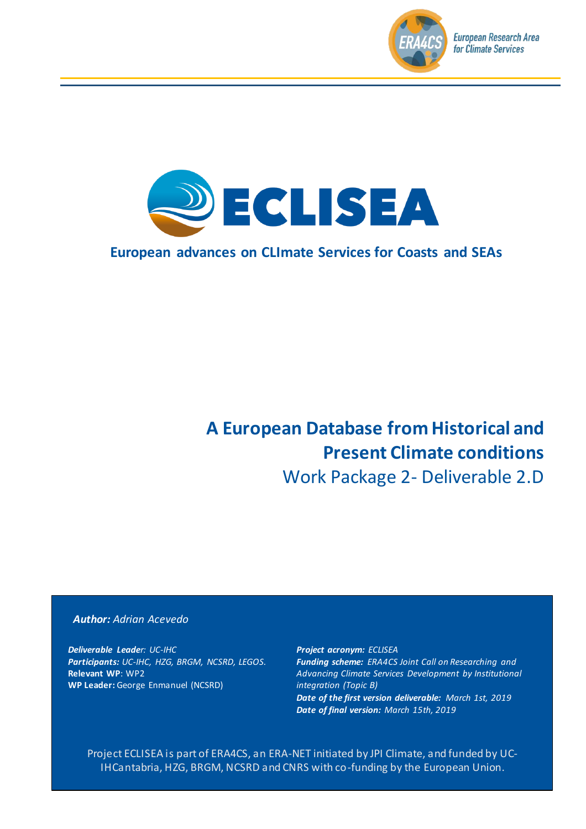



### **European advances on CLImate Services for Coasts and SEAs**

# **A European Database from Historical and Present Climate conditions**

Work Package 2- Deliverable 2.D

#### *Author: Adrian Acevedo*

*Deliverable Leader: UC-IHC Participants: UC-IHC, HZG, BRGM, NCSRD, LEGOS.* **Relevant WP**: WP2 **WP Leader:** George Enmanuel (NCSRD)

*Project acronym: ECLISEA Funding scheme: ERA4CS Joint Call on Researching and Advancing Climate Services Development by Institutional integration (Topic B) Date of the first version deliverable: March 1st, 2019 Date of final version: March 15th, 2019*

Project ECLISEA is part of ERA4CS, an ERA-NET initiated by JPI Climate, and funded by UC-IHCantabria, HZG, BRGM, NCSRD and CNRS with co-funding by the European Union.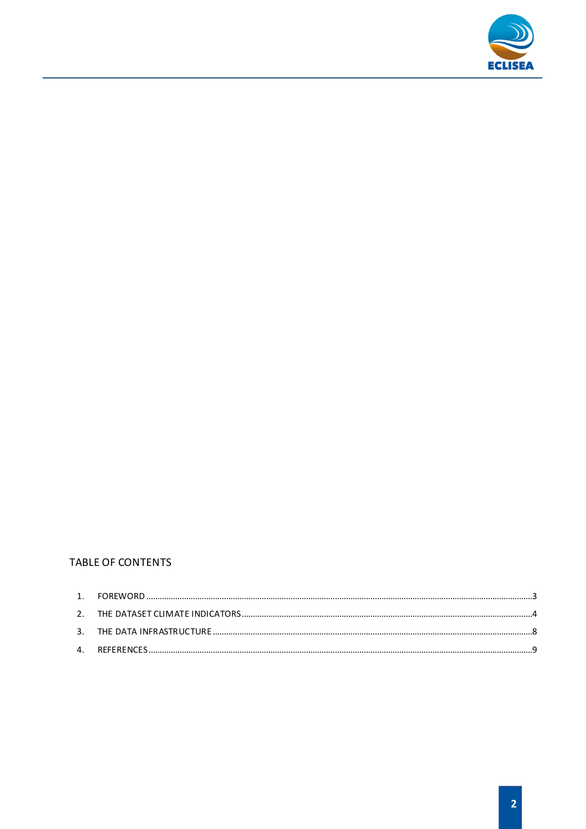

#### **TABLE OF CONTENTS**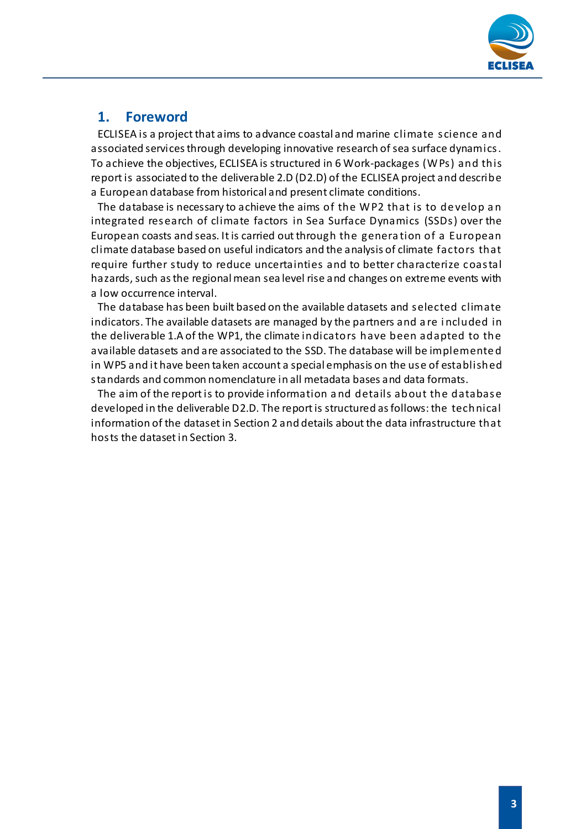

### **1. Foreword**

<span id="page-2-0"></span>ECLISEA is a project that aims to advance coastal and marine climate science and associated services through developing innovative research of sea surface dynamics. To achieve the objectives, ECLISEA is structured in 6 Work-packages (WPs) and this report is associated to the deliverable 2.D (D2.D) of the ECLISEA project and describe a European database from historical and present climate conditions.

The database is necessary to achieve the aims of the WP2 that is to de velop a n integrated research of climate factors in Sea Surface Dynamics (SSDs) over the European coasts and seas. It is carried out through the genera tion of a European climate database based on useful indicators and the analysis of climate factors that require further study to reduce uncertainties and to better characterize coastal hazards, such as the regional mean sea level rise and changes on extreme events with a low occurrence interval.

The database has been built based on the available datasets and selected climate indicators. The available datasets are managed by the partners and a re i ncluded in the deliverable 1.A of the WP1, the climate indicators have been adapted to the available datasets and are associated to the SSD. The database will be implemente d in WP5 and it have been taken account a special emphasis on the use of established standards and common nomenclature in all metadata bases and data formats.

The aim of the report is to provide information a nd details about the database developed in the deliverable D2.D. The report is structured as follows: the technical information of the dataset in Section 2 and details about the data infrastructure that hosts the dataset in Section 3.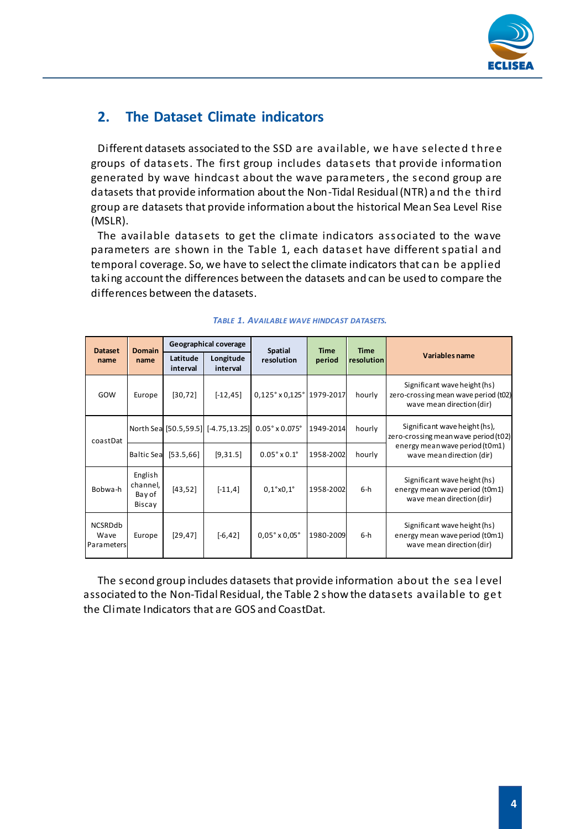

### <span id="page-3-0"></span>**2. The Dataset Climate indicators**

Different datasets associated to the SSD are available, we have selecte d t hre e groups of datasets. The first group includes datasets that provide information generated by wave hindcast about the wave parameters, the second group are datasets that provide information about the Non-Tidal Residual (NTR) a nd the third group are datasets that provide information about the historical Mean Sea Level Rise (MSLR).

The available datasets to get the climate indicators associated to the wave parameters are shown in the Table 1, each dataset have different spatial and temporal coverage. So, we have to select the climate indicators that can be applied taking account the differences between the datasets and can be used to compare the differences between the datasets.

| <b>Dataset</b>                       | <b>Domain</b>                           | Geographical coverage |                                     | Spatial                            | <b>Time</b> | <b>Time</b> |                                                                                                   |  |
|--------------------------------------|-----------------------------------------|-----------------------|-------------------------------------|------------------------------------|-------------|-------------|---------------------------------------------------------------------------------------------------|--|
| name                                 | name                                    | Latitude<br>interval  | Longitude<br>interval               | resolution                         | period      | resolution  | Variables name                                                                                    |  |
| GOW                                  | Europe                                  | [30, 72]              | $[-12, 45]$                         | $0,125°$ x $0,125°$ 1979-2017      |             | hourly      | Significant wave height (hs)<br>zero-crossing mean wave period (t02)<br>wave mean direction (dir) |  |
| coastDat                             |                                         |                       | North Sea [50.5,59.5] [-4.75,13.25] | $0.05^{\circ}$ x $0.075^{\circ}$   | 1949-2014   | hourly      | Significant wave height (hs),<br>zero-crossing mean wave period (t02)                             |  |
|                                      | <b>Baltic Sea</b>                       | [53.5, 66]            | [9,31.5]                            | $0.05^{\circ} \times 0.1^{\circ}$  | 1958-2002   | hourly      | energy mean wave period (t0m1)<br>wave meandirection (dir)                                        |  |
| Bobwa-h                              | English<br>channel,<br>Bay of<br>Biscay | [43, 52]              | $[-11,4]$                           | 0,1°x0,1°                          | 1958-2002   | $6-h$       | Significant wave height (hs)<br>energy mean wave period (t0m1)<br>wave mean direction (dir)       |  |
| <b>NCSRDdb</b><br>Wave<br>Parameters | Europe                                  | [29, 47]              | $[-6, 42]$                          | $0.05^{\circ} \times 0.05^{\circ}$ | 1980-2009   | $6-h$       | Significant wave height (hs)<br>energy mean wave period (t0m1)<br>wave mean direction (dir)       |  |

#### *TABLE 1. AVAILABLE WAVE HINDCAST DATASETS.*

The second group includes datasets that provide information about the sea l evel associated to the Non-Tidal Residual, the Table 2 show the datasets available to ge t the Climate Indicators that are GOS and CoastDat.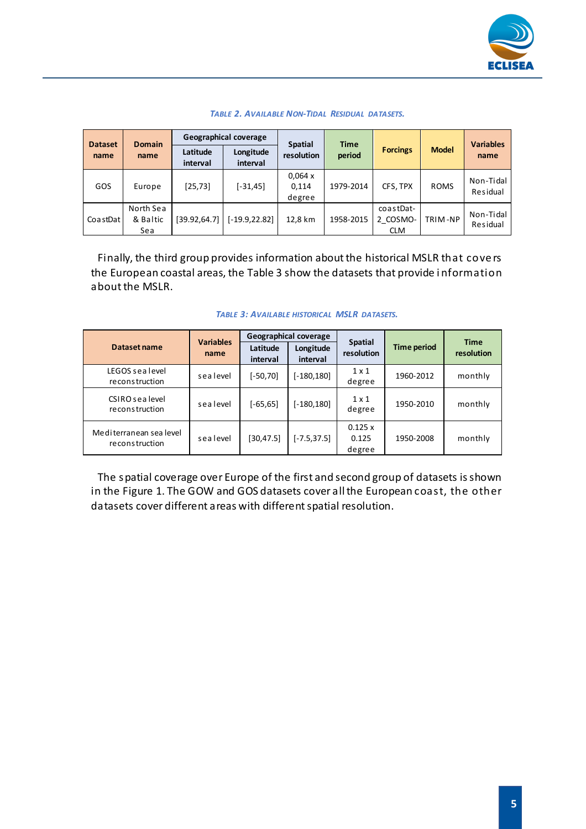

| <b>Dataset</b> | <b>Domain</b><br>name        | Geographical coverage |                       | <b>Spatial</b>            | <b>Time</b> |                                     |              | <b>Variables</b>      |
|----------------|------------------------------|-----------------------|-----------------------|---------------------------|-------------|-------------------------------------|--------------|-----------------------|
| name           |                              | Latitude<br>interval  | Longitude<br>interval | resolution                | period      | <b>Forcings</b>                     | <b>Model</b> | name                  |
| GOS            | Europe                       | [25, 73]              | $[-31, 45]$           | 0,064x<br>0,114<br>degree | 1979-2014   | CFS, TPX                            | <b>ROMS</b>  | Non-Tidal<br>Residual |
| CoastDat       | North Sea<br>& Baltic<br>Sea | [39.92,64.7]          | $[-19.9, 22.82]$      | 12,8 km                   | 1958-2015   | coastDat-<br>2 COSMO-<br><b>CLM</b> | TRIM-NP      | Non-Tidal<br>Residual |

#### *TABLE 2. AVAILABLE NON-TIDAL RESIDUAL DATASETS.*

Finally, the third group provides information about the historical MSLR that cove rs the European coastal areas, the Table 3 show the datasets that provide i nformation about the MSLR.

|                                           | <b>Variables</b><br>name | <b>Geographical coverage</b> |                       |                              |                    |                           |
|-------------------------------------------|--------------------------|------------------------------|-----------------------|------------------------------|--------------------|---------------------------|
| Dataset name                              |                          | Latitude<br>interval         | Longitude<br>interval | <b>Spatial</b><br>resolution | <b>Time period</b> | <b>Time</b><br>resolution |
| LEGOS sealevel<br>reconstruction          | sealevel                 | [-50,70]                     | [-180,180]            | $1 \times 1$<br>degree       | 1960-2012          | monthly                   |
| CSIRO sea level<br>reconstruction         | sealevel                 | $[-65, 65]$                  | [-180,180]            | $1 \times 1$<br>degree       | 1950-2010          | monthly                   |
| Mediterranean sea level<br>reconstruction | sealevel                 | [30, 47.5]                   | $[-7.5, 37.5]$        | 0.125 x<br>0.125<br>degree   | 1950-2008          | monthly                   |

#### *TABLE 3: AVAILABLE HISTORICAL MSLR DATASETS.*

The spatial coverage over Europe of the first and second group of datasets is shown in the Figure 1. The GOW and GOS datasets cover all the European coast, the other datasets cover different areas with different spatial resolution.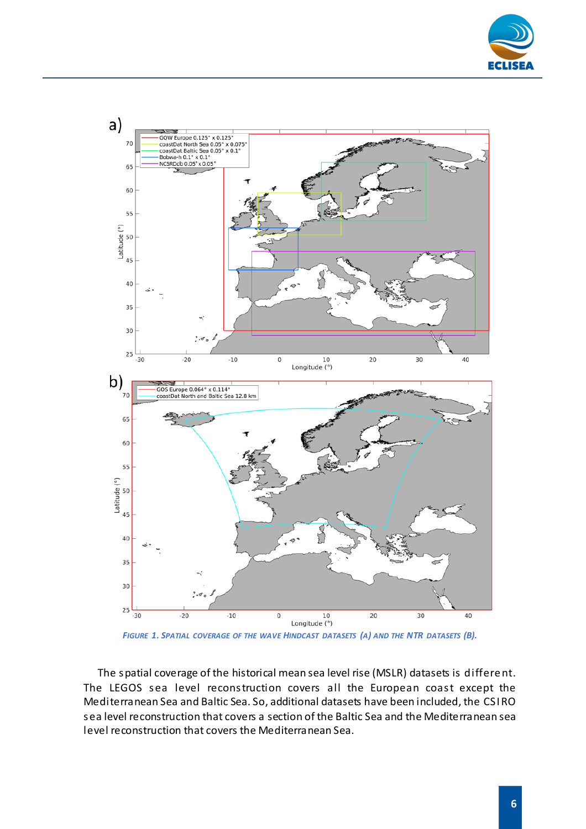



*FIGURE 1. SPATIAL COVERAGE OF THE WAVE HINDCAST DATASETS (A) AND THE NTR DATASETS (B).*

The spatial coverage of the historical mean sea level rise (MSLR) datasets is differe nt. The LEGOS sea level reconstruction covers all the European coast except the Mediterranean Sea and Baltic Sea. So, additional datasets have been included, the CSI RO sea level reconstruction that covers a section of the Baltic Sea and the Mediterranean sea level reconstruction that covers the Mediterranean Sea.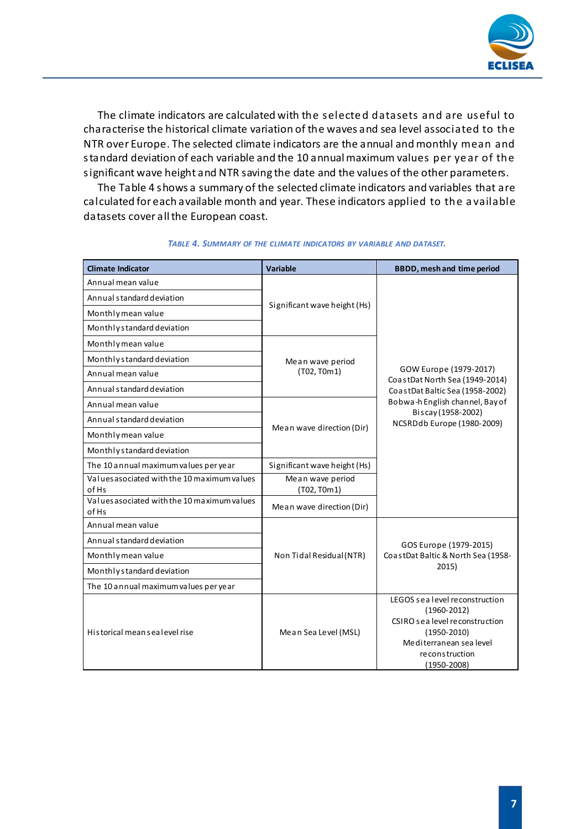

The climate indicators are calculated with the selecte d datasets and are useful to characterise the historical climate variation of the waves and sea level associated to the NTR over Europe. The selected climate indicators are the annual and monthly mean and standard deviation of each variable and the 10 annual maximum values per ye ar of the significant wave height and NTR saving the date and the values of the other parameters.

The Table 4 shows a summary of the selected climate indicators and variables that are calculated for each available month and year. These indicators applied to the a vailable datasets cover all the European coast.

| <b>Climate Indicator</b>                             | <b>Variable</b>              | <b>BBDD, mesh and time period</b>                                                           |  |  |
|------------------------------------------------------|------------------------------|---------------------------------------------------------------------------------------------|--|--|
| Annual mean value                                    |                              | GOW Europe (1979-2017)<br>CoastDat North Sea (1949-2014)<br>CoastDat Baltic Sea (1958-2002) |  |  |
| Annual standard deviation                            | Significant wave height (Hs) |                                                                                             |  |  |
| Monthly mean value                                   |                              |                                                                                             |  |  |
| Monthly standard deviation                           |                              |                                                                                             |  |  |
| Monthly mean value                                   |                              |                                                                                             |  |  |
| Monthly standard deviation                           | Mean wave period             |                                                                                             |  |  |
| Annual mean value                                    | (T02, T0m1)                  |                                                                                             |  |  |
| Annual standard deviation                            |                              |                                                                                             |  |  |
| Annual mean value                                    |                              | Bobwa-h English channel, Bay of                                                             |  |  |
| Annual standard deviation                            |                              | Biscay (1958-2002)<br>NCSRDdb Europe (1980-2009)                                            |  |  |
| Monthly mean value                                   | Mean wave direction (Dir)    |                                                                                             |  |  |
| Monthly standard deviation                           |                              |                                                                                             |  |  |
| The 10 annual maximum values per year                | Significant wave height (Hs) |                                                                                             |  |  |
| Values asociated with the 10 maximum values          | Mean wave period             |                                                                                             |  |  |
| of Hs<br>Values asociated with the 10 maximum values | (T02, T0m1)                  |                                                                                             |  |  |
| of Hs                                                | Mean wave direction (Dir)    |                                                                                             |  |  |
| Annual mean value                                    |                              | GOS Europe (1979-2015)                                                                      |  |  |
| Annual standard deviation                            |                              |                                                                                             |  |  |
| Monthly mean value                                   | Non Tidal Residual (NTR)     | CoastDat Baltic & North Sea (1958-                                                          |  |  |
| Monthly standard deviation                           |                              | 2015)                                                                                       |  |  |
| The 10 annual maximum values per year                |                              |                                                                                             |  |  |
|                                                      |                              | LEGOS sealevel reconstruction                                                               |  |  |
|                                                      |                              | $(1960 - 2012)$<br>CSIRO sea level reconstruction<br>$(1950 - 2010)$                        |  |  |
| Historical meansealevel rise                         | Mean Sea Level (MSL)         |                                                                                             |  |  |
|                                                      |                              | Mediterranean sea level                                                                     |  |  |
|                                                      |                              | re construction<br>$(1950 - 2008)$                                                          |  |  |
|                                                      |                              |                                                                                             |  |  |

#### *TABLE 4. SUMMARY OF THE CLIMATE INDICATORS BY VARIABLE AND DATASET.*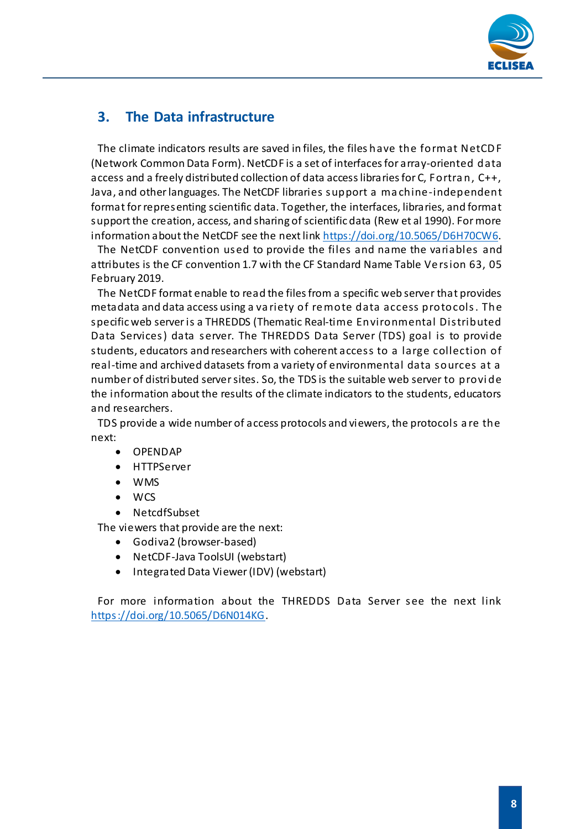

### <span id="page-7-0"></span>**3. The Data infrastructure**

The climate indicators results are saved in files, the files have the format NetCD F (Network Common Data Form). NetCDF is a set of interfaces for array-oriented data access and a freely distributed collection of data access libraries for C, Fortra n, C++, Java, and other languages. The NetCDF libraries support a ma chine-independent format for representing scientific data. Together, the interfaces, libraries, and format support the creation, access, and sharing of scientific data (Rew et al 1990). For more information about the NetCDF see the next lin[k https://doi.org/10.5065/D6H70CW6](https://doi.org/10.5065/D6H70CW6).

The NetCDF convention used to provide the files and name the variables and attributes is the CF convention 1.7 with the CF Standard Name Table Ve rsion 63, 05 February 2019.

The NetCDF format enable to read the files from a specific web server that provides metadata and data access using a va riety of re mote data access protocols. The specific web server is a THREDDS (Thematic Real-time Environmental Distributed Data Services) data server. The THREDDS Data Server (TDS) goal is to provide students, educators and researchers with coherent access to a large collection of real-time and archived datasets from a variety of environmental data sources at a number of distributed server sites. So, the TDS is the suitable web server to provi de the information about the results of the climate indicators to the students, educators and researchers.

TDS provide a wide number of access protocols and viewers, the protocols a re the next:

- OPENDAP
- HTTPServer
- WMS
- WCS
- NetcdfSubset

The viewers that provide are the next:

- Godiva2 (browser-based)
- NetCDF-Java ToolsUI (webstart)
- Integrated Data Viewer (IDV) (webstart)

For more information about the THREDDS Data Server see the next link <https://doi.org/10.5065/D6N014KG>.